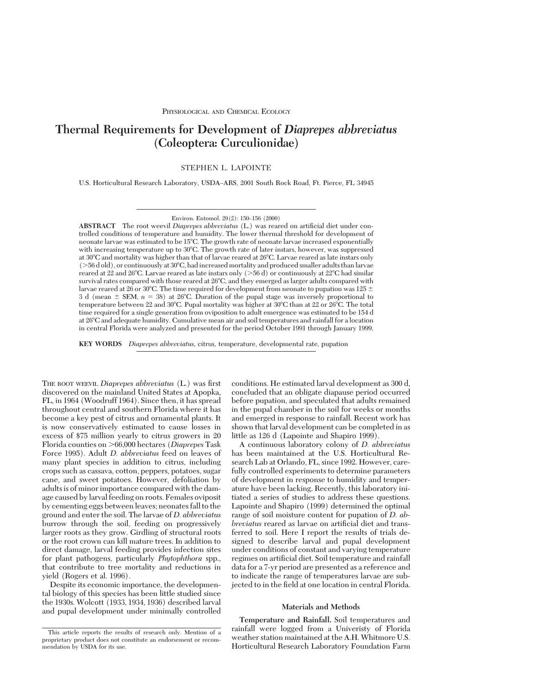# **Thermal Requirements for Development of** *Diaprepes abbreviatus* **(Coleoptera: Curculionidae)**

STEPHEN L. LAPOINTE

U.S. Horticultural Research Laboratory, USDA–ARS, 2001 South Rock Road, Ft. Pierce, FL 34945

**ABSTRACT** The root weevil *Diaprepes abbreviatus* (L.) was reared on artificial diet under controlled conditions of temperature and humidity. The lower thermal threshold for development of neonate larvae was estimated to be 15°C. The growth rate of neonate larvae increased exponentially with increasing temperature up to 30°C. The growth rate of later instars, however, was suppressed at 30°C and mortality was higher than that of larvae reared at 26°C. Larvae reared as late instars only  $($ >56 d old), or continuously at  $30^{\circ}$ C, had increased mortality and produced smaller adults than larvae reared at 22 and 26°C. Larvae reared as late instars only ( $> 56 d$ ) or continuously at 22°C had similar survival rates compared with those reared at 26°C, and they emerged as larger adults compared with larvae reared at 26 or 30°C. The time required for development from neonate to pupation was 125  $\pm$ 3 d (mean  $\pm$  SEM,  $n = 38$ ) at 26°C. Duration of the pupal stage was inversely proportional to temperature between 22 and 30°C. Pupal mortality was higher at  $30^{\circ}$ C than at 22 or 26°C. The total time required for a single generation from oviposition to adult emergence was estimated to be 154 d at 268C and adequate humidity. Cumulative mean air and soil temperatures and rainfall for a location in central Florida were analyzed and presented for the period October 1991 through January 1999.

**KEY WORDS** *Diaprepes abbreviatus,* citrus, temperature, developmental rate, pupation

THE ROOT WEEVIL *Diaprepes abbreviatus* (L.) was first discovered on the mainland United States at Apopka, FL, in 1964 (Woodruff 1964). Since then, it has spread throughout central and southern Florida where it has become a key pest of citrus and ornamental plants. It is now conservatively estimated to cause losses in excess of \$75 million yearly to citrus growers in 20 Florida counties on .66,000 hectares (*Diaprepes* Task Force 1995). Adult *D. abbreviatus* feed on leaves of many plant species in addition to citrus, including crops such as cassava, cotton, peppers, potatoes, sugar cane, and sweet potatoes. However, defoliation by adults is of minor importance compared with the damage caused by larval feeding on roots. Females oviposit by cementing eggs between leaves; neonates fall to the ground and enter the soil. The larvae of *D. abbreviatus* burrow through the soil, feeding on progressively larger roots as they grow. Girdling of structural roots or the root crown can kill mature trees. In addition to direct damage, larval feeding provides infection sites for plant pathogens, particularly *Phytophthora* spp., that contribute to tree mortality and reductions in yield (Rogers et al. 1996).

Despite its economic importance, the developmental biology of this species has been little studied since the 1930s. Wolcott (1933, 1934, 1936) described larval and pupal development under minimally controlled

conditions. He estimated larval development as 300 d, concluded that an obligate diapause period occurred before pupation, and speculated that adults remained in the pupal chamber in the soil for weeks or months and emerged in response to rainfall. Recent work has shown that larval development can be completed in as little as 126 d (Lapointe and Shapiro 1999).

A continuous laboratory colony of *D. abbreviatus* has been maintained at the U.S. Horticultural Research Lab at Orlando, FL, since 1992. However, carefully controlled experiments to determine parameters of development in response to humidity and temperature have been lacking. Recently, this laboratory initiated a series of studies to address these questions. Lapointe and Shapiro (1999) determined the optimal range of soil moisture content for pupation of *D. abbreviatus* reared as larvae on artificial diet and transferred to soil. Here I report the results of trials designed to describe larval and pupal development under conditions of constant and varying temperature regimes on artificial diet. Soil temperature and rainfall data for a 7-yr period are presented as a reference and to indicate the range of temperatures larvae are subjected to in the field at one location in central Florida.

# **Materials and Methods**

**Temperature and Rainfall.** Soil temperatures and rainfall were logged from a Univeristy of Florida weather station maintained at the A.H. Whitmore U.S. Horticultural Research Laboratory Foundation Farm

Environ. Entomol. 29(2): 150-156 (2000)

This article reports the results of research only. Mention of a proprietary product does not constitute an endorsement or recommendation by USDA for its use.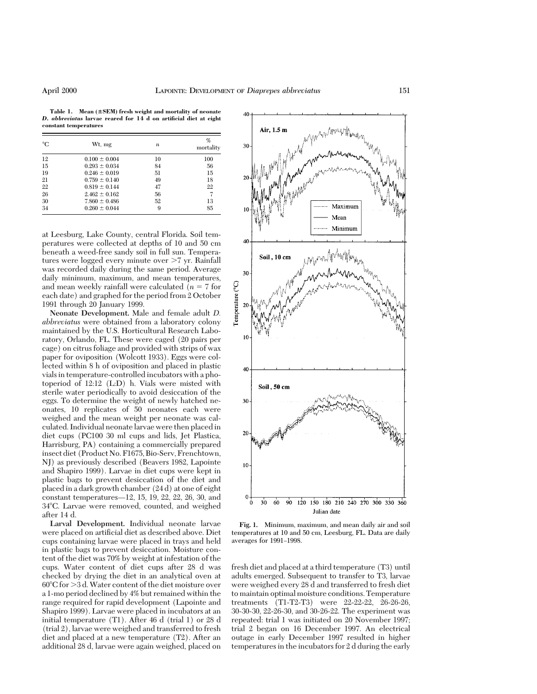Table 1. Mean ( $\pm$ SEM) fresh weight and mortality of neonate *D. abbreviatus* **larvae reared for 14 d on artificial diet at eight constant temperatures**

| $^{\circ}C$ | Wt, mg            | n  | %<br>mortality |
|-------------|-------------------|----|----------------|
| 12          | $0.100 \pm 0.004$ | 10 | 100            |
| 15          | $0.293 \pm 0.034$ | 84 | 56             |
| 19          | $0.246 \pm 0.019$ | 51 | 15             |
| 21          | $0.759 \pm 0.140$ | 49 | 18             |
| 22          | $0.819 \pm 0.144$ | 47 | 22             |
| 26          | $2.462 \pm 0.162$ | 56 |                |
| 30          | $7.860 \pm 0.486$ | 52 | 13             |
| 34          | $0.260 \pm 0.044$ | 9  | 85             |

at Leesburg, Lake County, central Florida. Soil temperatures were collected at depths of 10 and 50 cm beneath a weed-free sandy soil in full sun. Temperatures were logged every minute over  $\geq 7$  yr. Rainfall was recorded daily during the same period. Average daily minimum, maximum, and mean temperatures, and mean weekly rainfall were calculated  $(n = 7$  for each date) and graphed for the period from 2 October 1991 through 20 January 1999.

**Neonate Development.** Male and female adult *D. abbreviatus* were obtained from a laboratory colony maintained by the U.S. Horticultural Research Laboratory, Orlando, FL. These were caged (20 pairs per cage) on citrus foliage and provided with strips of wax paper for oviposition (Wolcott 1933). Eggs were collected within 8 h of oviposition and placed in plastic vials in temperature-controlled incubators with a photoperiod of 12:12 (L:D) h. Vials were misted with sterile water periodically to avoid desiccation of the eggs. To determine the weight of newly hatched neonates, 10 replicates of 50 neonates each were weighed and the mean weight per neonate was calculated. Individual neonate larvae were then placed in diet cups (PC100 30 ml cups and lids, Jet Plastica, Harrisburg, PA) containing a commercially prepared insect diet (Product No. F1675, Bio-Serv, Frenchtown, NJ) as previously described (Beavers 1982, Lapointe and Shapiro 1999). Larvae in diet cups were kept in plastic bags to prevent desiccation of the diet and placed in a dark growth chamber (24 d) at one of eight constant temperatures— $12, 15, 19, 22, 22, 26, 30,$  and 34°C. Larvae were removed, counted, and weighed after 14 d.

**Larval Development.** Individual neonate larvae were placed on artificial diet as described above. Diet cups containing larvae were placed in trays and held in plastic bags to prevent desiccation. Moisture content of the diet was 70% by weight at infestation of the cups. Water content of diet cups after 28 d was checked by drying the diet in an analytical oven at  $60^{\circ}$ C for  $>$ 3 d. Water content of the diet moisture over a 1-mo period declined by 4% but remained within the range required for rapid development (Lapointe and Shapiro 1999). Larvae were placed in incubators at an initial temperature (T1). After 46 d (trial 1) or 28 d (trial 2), larvae were weighed and transferred to fresh diet and placed at a new temperature (T2). After an additional 28 d, larvae were again weighed, placed on



**Fig. 1.** Minimum, maximum, and mean daily air and soil temperatures at 10 and 50 cm, Leesburg, FL. Data are daily averages for 1991-1998.

fresh diet and placed at a third temperature (T3) until adults emerged. Subsequent to transfer to T3, larvae were weighed every 28 d and transferred to fresh diet to maintain optimal moisture conditions. Temperature treatments (T1-T2-T3) were 22-22-22, 26-26-26, 30-30-30, 22-26-30, and 30-26-22. The experiment was repeated: trial 1 was initiated on 20 November 1997; trial 2 began on 16 December 1997. An electrical outage in early December 1997 resulted in higher temperatures in the incubators for 2 d during the early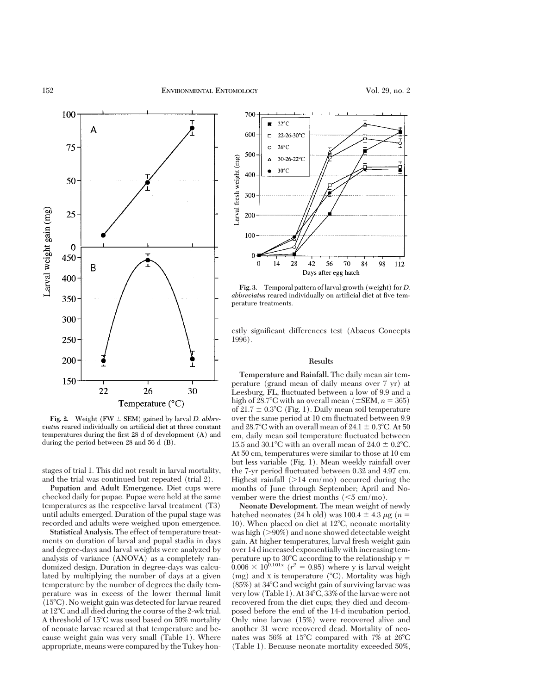

**Fig. 2.** Weight (FW  $\pm$  SEM) gained by larval *D. abbre* $via$ tus reared individually on artificial diet at three constant temperatures during the first  $28$  d of development  $(A)$  and during the period between 28 and 56 d (B).

stages of trial 1. This did not result in larval mortality, and the trial was continued but repeated (trial 2).

**Pupation and Adult Emergence.** Diet cups were checked daily for pupae. Pupae were held at the same temperatures as the respective larval treatment (T3) until adults emerged. Duration of the pupal stage was recorded and adults were weighed upon emergence.

**Statistical Analysis.** The effect of temperature treatments on duration of larval and pupal stadia in days and degree-days and larval weights were analyzed by analysis of variance (ANOVA) as a completely randomized design. Duration in degree-days was calculated by multiplying the number of days at a given temperature by the number of degrees the daily temperature was in excess of the lower thermal limit  $(15^{\circ}C)$ . No weight gain was detected for larvae reared at  $12^{\circ}$ C and all died during the course of the 2-wk trial. A threshold of 15°C was used based on 50% mortality of neonate larvae reared at that temperature and because weight gain was very small (Table 1). Where appropriate, means were compared by the Tukey hon-



**Fig. 3.** Temporal pattern of larval growth (weight) for *D. abbreviatus* reared individually on artificial diet at five temperature treatments.

estly significant differences test (Abacus Concepts 1996).

# **Results**

**Temperature and Rainfall.** The daily mean air temperature (grand mean of daily means over 7 yr) at Leesburg, FL, ßuctuated between a low of 9.9 and a high of 28.7°C with an overall mean ( $\pm$ SEM, *n* = 365) of  $21.7 \pm 0.3$ °C (Fig. 1). Daily mean soil temperature over the same period at 10 cm fluctuated between 9.9 and 28.7°C with an overall mean of 24.1  $\pm$  0.3°C. At 50 cm, daily mean soil temperature ßuctuated between 15.5 and 30.1°C with an overall mean of 24.0  $\pm$  0.2°C. At 50 cm, temperatures were similar to those at 10 cm but less variable (Fig. 1). Mean weekly rainfall over the 7-yr period ßuctuated between 0.32 and 4.97 cm. Highest rainfall  $(>14 \text{ cm/mol})$  occurred during the months of June through September; April and November were the driest months  $(<5 \text{ cm/mol})$ .

**Neonate Development.** The mean weight of newly hatched neonates (24 h old) was  $100.4 \pm 4.3 \mu$ g (*n* = 10). When placed on diet at  $12^{\circ}$ C, neonate mortality was high  $(>90%)$  and none showed detectable weight gain. At higher temperatures, larval fresh weight gain over 14 d increased exponentially with increasing temperature up to 30 $\degree$ C according to the relationship y =  $0.006 \times 10^{0.101x}$  ( $r^2 = 0.95$ ) where y is larval weight (mg) and x is temperature  $(^{\circ}C)$ . Mortality was high  $(85%)$  at  $34^{\circ}$ C and weight gain of surviving larvae was very low (Table 1). At 34°C, 33% of the larvae were not recovered from the diet cups; they died and decomposed before the end of the 14-d incubation period. Only nine larvae (15%) were recovered alive and another 31 were recovered dead. Mortality of neonates was 56% at 15 $\degree$ C compared with 7% at 26 $\degree$ C (Table 1). Because neonate mortality exceeded 50%,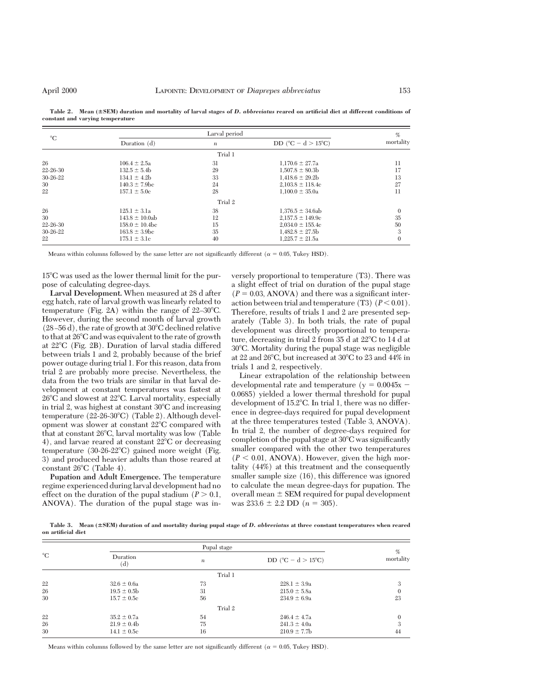| $^{\circ}C$ | Larval period       |                  |                                          | %            |
|-------------|---------------------|------------------|------------------------------------------|--------------|
|             | Duration $(d)$      | $\boldsymbol{n}$ | DD ( $^{\circ}$ C – d > 15 $^{\circ}$ C) | mortality    |
|             |                     | Trial 1          |                                          |              |
| 26          | $106.4 \pm 2.5a$    | 31               | $1,170.6 \pm 27.7a$                      | 11           |
| 22-26-30    | $132.5 \pm 5.4b$    | 29               | $1.507.8 \pm 80.3b$                      | 17           |
| 30-26-22    | $134.1 \pm 4.2b$    | 33               | $1,418.6 \pm 29.2b$                      | 13           |
| 30          | $140.3 \pm 7.9$ bc  | 24               | $2,103.8 \pm 118.4c$                     | 27           |
| 22          | $157.1 \pm 5.0c$    | 28               | $1.100.0 \pm 35.0a$                      | 11           |
|             |                     | Trial 2          |                                          |              |
| 26          | $125.1 \pm 3.1a$    | 38               | $1,376.5 \pm 34.6ab$                     | $\theta$     |
| 30          | $143.8 \pm 10.0ab$  | 12               | $2,157.5 \pm 149.9c$                     | 35           |
| 22-26-30    | $158.0 \pm 10.4$ bc | 15               | $2,034.0 \pm 155.4c$                     | 50           |
| 30-26-22    | $163.8 \pm 3.9$ bc  | 35               | $1,482.8 \pm 27.5$                       | 3            |
| 22          | $175.1 \pm 3.1c$    | 40               | $1.225.7 \pm 21.5a$                      | $\mathbf{0}$ |

Table 2. Mean ( $\pm$ SEM) duration and mortality of larval stages of *D. abbreviatus* reared on artificial diet at different conditions of **constant and varying temperature**

Means within columns followed by the same letter are not significantly different ( $\alpha = 0.05$ , Tukey HSD).

15°C was used as the lower thermal limit for the purpose of calculating degree-days.

**Larval Development.** When measured at 28 d after egg hatch, rate of larval growth was linearly related to temperature (Fig. 2A) within the range of  $22-30^{\circ}$ C. However, during the second month of larval growth  $(28-56 d)$ , the rate of growth at 30 $\degree$ C declined relative to that at  $26^{\circ}$ C and was equivalent to the rate of growth at  $22^{\circ}$ C (Fig. 2B). Duration of larval stadia differed between trials 1 and 2, probably because of the brief power outage during trial 1. For this reason, data from trial 2 are probably more precise. Nevertheless, the data from the two trials are similar in that larval development at constant temperatures was fastest at  $26^{\circ}$ C and slowest at  $22^{\circ}$ C. Larval mortality, especially in trial 2, was highest at constant  $30^{\circ}$ C and increasing temperature  $(22-26-30^{\circ}\text{C})$  (Table 2). Although development was slower at constant  $22^{\circ}$ C compared with that at constant  $26^{\circ}$ C, larval mortality was low (Table 4), and larvae reared at constant  $22^{\circ}$ C or decreasing temperature  $(30-26-22^{\circ}\text{C})$  gained more weight (Fig. 3) and produced heavier adults than those reared at constant  $26^{\circ}$ C (Table 4).

**Pupation and Adult Emergence.** The temperature regime experienced during larval development had no effect on the duration of the pupal stadium  $(P > 0.1)$ , ANOVA). The duration of the pupal stage was inversely proportional to temperature (T3). There was a slight effect of trial on duration of the pupal stage  $(P = 0.03, ANOVA)$  and there was a significant interaction between trial and temperature  $(T3)$   $(P < 0.01)$ . Therefore, results of trials 1 and 2 are presented separately (Table 3). In both trials, the rate of pupal development was directly proportional to temperature, decreasing in trial 2 from 35 d at 22°C to 14 d at  $30^{\circ}$ C. Mortality during the pupal stage was negligible at 22 and 26°C, but increased at 30°C to 23 and 44% in trials 1 and 2, respectively.

Linear extrapolation of the relationship between developmental rate and temperature ( $y = 0.0045x$  – 0.0685) yielded a lower thermal threshold for pupal development of  $15.2^{\circ}$ C. In trial 1, there was no difference in degree-days required for pupal development at the three temperatures tested (Table 3, ANOVA). In trial 2, the number of degree-days required for completion of the pupal stage at  $30^{\circ}$ C was significantly smaller compared with the other two temperatures  $(P < 0.01, ANOVA)$ . However, given the high mortality (44%) at this treatment and the consequently smaller sample size (16), this difference was ignored to calculate the mean degree-days for pupation. The overall mean  $\pm$  SEM required for pupal development was  $233.6 \pm 2.2$  DD ( $n = 305$ ).

**Table 3. Mean (**6**SEM) duration of and mortality during pupal stage of** *D. abbreviatus* **at three constant temperatures when reared on artificial diet**

|             | Pupal stage     |                  |                                      | %         |
|-------------|-----------------|------------------|--------------------------------------|-----------|
| $^{\circ}C$ | Duration<br>(d) | $\boldsymbol{n}$ | DD ( $^{\circ}C - d > 15^{\circ}C$ ) | mortality |
|             |                 | Trial 1          |                                      |           |
| 22          | $32.6 \pm 0.6a$ | 73               | $228.1 \pm 3.9a$                     | 3         |
| 26          | $19.5 \pm 0.5$  | 31               | $215.0 \pm 5.8a$                     | $\Omega$  |
| 30          | $15.7 \pm 0.5c$ | 56               | $234.9 \pm 6.9a$                     | 23        |
|             |                 | Trial 2          |                                      |           |
| 22          | $35.2 \pm 0.7a$ | 54               | $246.4 \pm 4.7a$                     |           |
| 26          | $21.9 \pm 0.4$  | 75               | $241.3 \pm 4.0a$                     | 3         |
| 30          | $14.1 \pm 0.5c$ | 16               | $210.9 \pm 7.7$ b                    | 44        |

Means within columns followed by the same letter are not significantly different ( $\alpha = 0.05$ , Tukey HSD).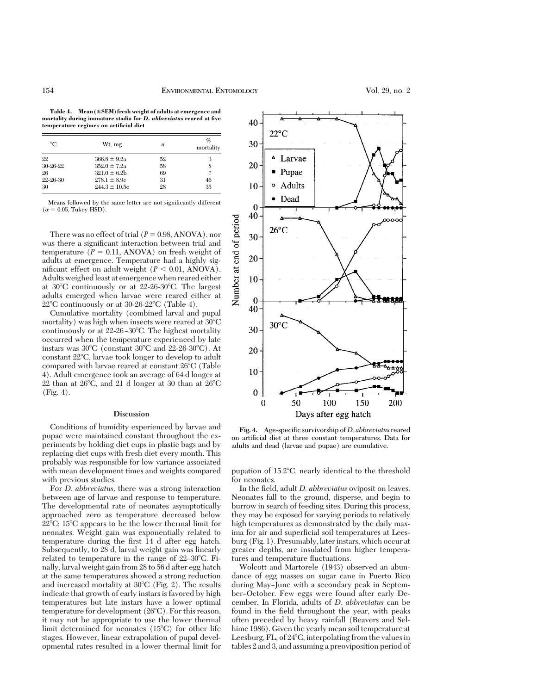Table 4. Mean ( $\pm$ SEM) fresh weight of adults at emergence and **mortality during immature stadia for** *D. abbreviatus* **reared at five temperature regimes on artificial diet**

| °C       | Wt, mg            | n  | %<br>mortality |
|----------|-------------------|----|----------------|
| 22       | $366.8 \pm 9.2a$  | 52 | 3              |
| 30-26-22 | $352.0 \pm 7.2a$  | 58 | 8              |
| 26       | $321.0 \pm 6.2$   | 69 | 7              |
| 22-26-30 | $278.1 \pm 8.9c$  | 31 | 46             |
| 30       | $244.3 \pm 10.5c$ | 28 | 35             |

Means followed by the same letter are not significantly different  $(\alpha = 0.05,$  Tukey HSD).

There was no effect of trial  $(P = 0.98, ANOVA)$ , nor was there a significant interaction between trial and temperature  $(P = 0.11, ANOVA)$  on fresh weight of adults at emergence. Temperature had a highly significant effect on adult weight  $(P < 0.01, ANOVA)$ . Adults weighed least at emergence when reared either at  $30^{\circ}$ C continuously or at  $22{\text -}26{\text -}30^{\circ}$ C. The largest adults emerged when larvae were reared either at  $22^{\circ}$ C continuously or at 30-26-22 $^{\circ}$ C (Table 4).

Cumulative mortality (combined larval and pupal mortality) was high when insects were reared at  $30^{\circ}$ C continuously or at  $22$ -26-30 $\degree$ C. The highest mortality occurred when the temperature experienced by late instars was  $30^{\circ}$ C (constant  $30^{\circ}$ C and  $22$ -26-30 $^{\circ}$ C). At constant 22°C, larvae took longer to develop to adult compared with larvae reared at constant  $26^{\circ}$ C (Table 4). Adult emergence took an average of 64 d longer at  $22$  than at  $26^{\circ}$ C, and  $21$  d longer at 30 than at  $26^{\circ}$ C (Fig. 4).

## **Discussion**

Conditions of humidity experienced by larvae and pupae were maintained constant throughout the experiments by holding diet cups in plastic bags and by replacing diet cups with fresh diet every month. This probably was responsible for low variance associated with mean development times and weights compared with previous studies.

For *D. abbreviatus,* there was a strong interaction between age of larvae and response to temperature. The developmental rate of neonates asymptotically approached zero as temperature decreased below  $22^{\circ}$ C; 15<sup>o</sup>C appears to be the lower thermal limit for neonates. Weight gain was exponentially related to temperature during the first 14 d after egg hatch. Subsequently, to 28 d, larval weight gain was linearly related to temperature in the range of  $22-30^{\circ}$ C. Finally, larval weight gain from 28 to 56 d after egg hatch at the same temperatures showed a strong reduction and increased mortality at  $30^{\circ}$ C (Fig. 2). The results indicate that growth of early instars is favored by high temperatures but late instars have a lower optimal temperature for development  $(26^{\circ}C)$ . For this reason, it may not be appropriate to use the lower thermal limit determined for neonates  $(15^{\circ}C)$  for other life stages. However, linear extrapolation of pupal developmental rates resulted in a lower thermal limit for



Fig. 4. Age-specific survivorship of *D. abbreviatus* reared on artificial diet at three constant temperatures. Data for adults and dead (larvae and pupae) are cumulative.

pupation of  $15.2^{\circ}$ C, nearly identical to the threshold for neonates.

In the field, adult *D. abbreviatus* oviposit on leaves. Neonates fall to the ground, disperse, and begin to burrow in search of feeding sites. During this process, they may be exposed for varying periods to relatively high temperatures as demonstrated by the daily maxima for air and superficial soil temperatures at Leesburg (Fig. 1). Presumably, later instars, which occur at greater depths, are insulated from higher temperatures and temperature fluctuations.

Wolcott and Martorele (1943) observed an abundance of egg masses on sugar cane in Puerto Rico during May-June with a secondary peak in September-October. Few eggs were found after early December. In Florida, adults of *D. abbreviatus* can be found in the field throughout the year, with peaks often preceded by heavy rainfall (Beavers and Selhime 1986). Given the yearly mean soil temperature at Leesburg, FL, of  $24^{\circ}$ C, interpolating from the values in tables 2 and 3, and assuming a preoviposition period of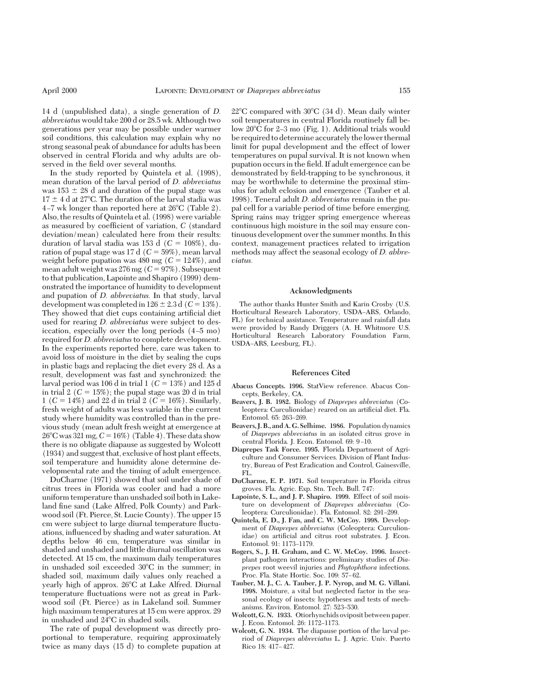14 d (unpublished data), a single generation of *D. abbreviatus* would take 200 d or 28.5 wk. Although two generations per year may be possible under warmer soil conditions, this calculation may explain why no strong seasonal peak of abundance for adults has been observed in central Florida and why adults are observed in the field over several months.

In the study reported by Quintela et al. (1998), mean duration of the larval period of *D. abbreviatus* was  $153 \pm 28$  d and duration of the pupal stage was  $17 \pm 4$  d at 27°C. The duration of the larval stadia was 4-7 wk longer than reported here at  $26^{\circ}$ C (Table 2). Also, the results of Quintela et al. (1998) were variable as measured by coefficient of variation, *C* (standard deviation/mean) calculated here from their results: duration of larval stadia was 153 d ( $C = 108\%$ ), duration of pupal stage was 17 d  $(C = 59\%)$ , mean larval weight before pupation was  $480 \text{ mg } (C = 124\%)$ , and mean adult weight was  $276 \text{ mg } (C = 97\%)$ . Subsequent to that publication, Lapointe and Shapiro (1999) demonstrated the importance of humidity to development and pupation of *D. abbreviatus.* In that study, larval development was completed in  $126 \pm 2.3$  d ( $C = 13\%$ ). They showed that diet cups containing artificial diet used for rearing *D. abbreviatus* were subject to desiccation, especially over the long periods  $(4-5 \text{ mo})$ required for *D. abbreviatus* to complete development. In the experiments reported here, care was taken to avoid loss of moisture in the diet by sealing the cups in plastic bags and replacing the diet every 28 d. As a result, development was fast and synchronized: the larval period was 106 d in trial  $1 \ (C = 13\%)$  and 125 d in trial 2  $(C = 15\%)$ ; the pupal stage was 20 d in trial 1 ( $C = 14\%$ ) and 22 d in trial 2 ( $C = 16\%$ ). Similarly, fresh weight of adults was less variable in the current study where humidity was controlled than in the previous study (mean adult fresh weight at emergence at  $26^{\circ}$ C was 321 mg,  $C = 16\%$  (Table 4). These data show there is no obligate diapause as suggested by Wolcott (1934) and suggest that, exclusive of host plant effects, soil temperature and humidity alone determine developmental rate and the timing of adult emergence.

DuCharme (1971) showed that soil under shade of citrus trees in Florida was cooler and had a more uniform temperature than unshaded soil both in Lakeland fine sand (Lake Alfred, Polk County) and Parkwood soil (Ft. Pierce, St. Lucie County). The upper 15 cm were subject to large diurnal temperature ßuctuations, inßuenced by shading and water saturation. At depths below 46 cm, temperature was similar in shaded and unshaded and little diurnal oscillation was detected. At 15 cm, the maximum daily temperatures in unshaded soil exceeded  $30^{\circ}$ C in the summer; in shaded soil, maximum daily values only reached a yearly high of approx. 26°C at Lake Alfred. Diurnal temperature ßuctuations were not as great in Parkwood soil (Ft. Pierce) as in Lakeland soil. Summer high maximum temperatures at 15 cm were approx. 29 in unshaded and  $24^{\circ}$ C in shaded soils.

The rate of pupal development was directly proportional to temperature, requiring approximately twice as many days (15 d) to complete pupation at  $22^{\circ}$ C compared with  $30^{\circ}$ C (34 d). Mean daily winter soil temperatures in central Florida routinely fall below  $20^{\circ}$ C for 2–3 mo (Fig. 1). Additional trials would be required to determine accurately thelower thermal limit for pupal development and the effect of lower temperatures on pupal survival. It is not known when pupation occurs in the field. If adult emergence can be demonstrated by field-trapping to be synchronous, it may be worthwhile to determine the proximal stimulus for adult eclosion and emergence (Tauber et al. 1998). Teneral adult *D. abbreviatus* remain in the pupal cell for a variable period of time before emerging. Spring rains may trigger spring emergence whereas continuous high moisture in the soil may ensure continuous development over the summer months. In this context, management practices related to irrigation methods may affect the seasonal ecology of *D. abbreviatus.*

### **Acknowledgments**

The author thanks Hunter Smith and Karin Crosby (U.S. Horticultural Research Laboratory, USDA-ARS, Orlando, FL) for technical assistance. Temperature and rainfall data were provided by Randy Driggers (A. H. Whitmore U.S. Horticultural Research Laboratory Foundation Farm, USDA-ARS, Leesburg, FL).

### **References Cited**

- **Abacus Concepts. 1996.** StatView reference. Abacus Concepts, Berkeley, CA.
- **Beavers, J. B. 1982.** Biology of *Diaprepes abbreviatus* (Coleoptera: Curculionidae) reared on an artificial diet. Fla. Entomol. 65: 263-269.
- **Beavers, J. B., and A. G. Selhime. 1986.** Population dynamics of *Diaprepes abbreviatus* in an isolated citrus grove in central Florida. J. Econ. Entomol. 69: 9-10.
- **Diaprepes Task Force. 1995.** Florida Department of Agriculture and Consumer Services. Division of Plant Industry, Bureau of Pest Eradication and Control, Gainesville, FL.
- **DuCharme, E. P. 1971.** Soil temperature in Florida citrus groves. Fla. Agric. Exp. Stn. Tech. Bull. 747:
- **Lapointe, S. L., and J. P. Shapiro. 1999.** Effect of soil moisture on development of *Diaprepes abbreviatus* (Coleoptera: Curculionidae). Fla. Entomol. 82: 291-299.
- **Quintela, E. D., J. Fan, and C. W. McCoy. 1998.** Development of *Diaprepes abbreviatus* (Coleoptera: Curculionidae) on artificial and citrus root substrates. J. Econ. Entomol. 91: 1173-1179.
- **Rogers, S., J. H. Graham, and C. W. McCoy. 1996.** Insectplant pathogen interactions: preliminary studies of *Diaprepes* root weevil injuries and *Phytophthora* infections. Proc. Fla. State Hortic. Soc. 109: 57-62.
- **Tauber, M. J., C. A. Tauber, J. P. Nyrop, and M. G. Villani. 1998.** Moisture, a vital but neglected factor in the seasonal ecology of insects: hypotheses and tests of mechanisms. Environ. Entomol. 27: 523-530.
- **Wolcott, G. N. 1933.** Otiorhynchids oviposit between paper. J. Econ. Entomol. 26: 1172-1173.
- **Wolcott, G. N. 1934.** The diapause portion of the larval period of *Diaprepes abbreviatus* L. J. Agric. Univ. Puerto Rico 18: 417-427.